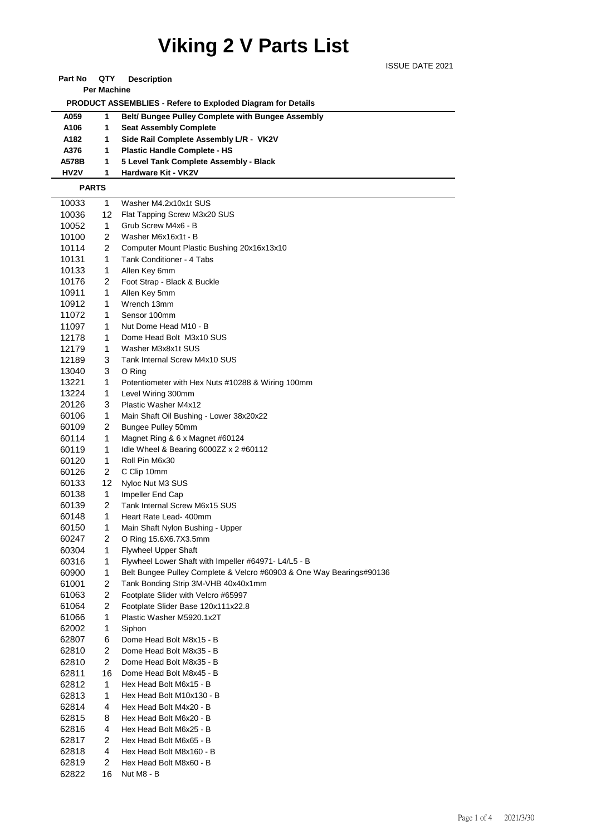## **Viking 2 V Parts List**

ISSUE DATE 2021

#### **Part No QTY Description**

**Per Machine**

 **PRODUCT ASSEMBLIES - Refere to Exploded Diagram for Details** 

| A059              | 1. | <b>Belt/ Bungee Pulley Complete with Bungee Assembly</b> |
|-------------------|----|----------------------------------------------------------|
| A106              |    | <b>Seat Assembly Complete</b>                            |
| A182              |    | Side Rail Complete Assembly L/R - VK2V                   |
| A376              | 1. | <b>Plastic Handle Complete - HS</b>                      |
| A578B             |    | 5 Level Tank Complete Assembly - Black                   |
| HV <sub>2</sub> V |    | Hardware Kit - VK2V                                      |

#### **PARTS**

| 10033 | 1                       | Washer M4.2x10x1t SUS                                                |
|-------|-------------------------|----------------------------------------------------------------------|
| 10036 | 12                      | Flat Tapping Screw M3x20 SUS                                         |
| 10052 | 1                       | Grub Screw M4x6 - B                                                  |
| 10100 | $\overline{2}$          | Washer M6x16x1t - B                                                  |
| 10114 | 2                       | Computer Mount Plastic Bushing 20x16x13x10                           |
| 10131 | 1                       | Tank Conditioner - 4 Tabs                                            |
| 10133 | 1                       | Allen Key 6mm                                                        |
| 10176 | 2                       | Foot Strap - Black & Buckle                                          |
| 10911 | 1                       | Allen Key 5mm                                                        |
| 10912 | 1                       | Wrench 13mm                                                          |
| 11072 | 1                       | Sensor 100mm                                                         |
| 11097 | 1                       | Nut Dome Head M10 - B                                                |
| 12178 | 1                       | Dome Head Bolt M3x10 SUS                                             |
| 12179 | 1                       | Washer M3x8x1t SUS                                                   |
| 12189 | 3                       | Tank Internal Screw M4x10 SUS                                        |
| 13040 | 3                       | O Ring                                                               |
| 13221 | 1                       | Potentiometer with Hex Nuts #10288 & Wiring 100mm                    |
| 13224 | 1                       | Level Wiring 300mm                                                   |
| 20126 | 3                       | Plastic Washer M4x12                                                 |
| 60106 | 1                       | Main Shaft Oil Bushing - Lower 38x20x22                              |
| 60109 | 2                       | Bungee Pulley 50mm                                                   |
| 60114 | 1                       | Magnet Ring & 6 x Magnet #60124                                      |
| 60119 | 1                       | Idle Wheel & Bearing 6000ZZ $\times$ 2 #60112                        |
| 60120 | 1                       | Roll Pin M6x30                                                       |
| 60126 | 2                       | C Clip 10mm                                                          |
| 60133 | 12                      | Nyloc Nut M3 SUS                                                     |
| 60138 | 1                       | Impeller End Cap                                                     |
| 60139 | 2                       | Tank Internal Screw M6x15 SUS                                        |
| 60148 | 1                       | Heart Rate Lead- 400mm                                               |
| 60150 | 1                       | Main Shaft Nylon Bushing - Upper                                     |
| 60247 | $\overline{2}$          | O Ring 15.6X6.7X3.5mm                                                |
| 60304 | 1                       | <b>Flywheel Upper Shaft</b>                                          |
| 60316 | 1                       | Flywheel Lower Shaft with Impeller #64971- L4/L5 - B                 |
| 60900 | 1                       | Belt Bungee Pulley Complete & Velcro #60903 & One Way Bearings#90136 |
| 61001 | 2                       | Tank Bonding Strip 3M-VHB 40x40x1mm                                  |
| 61063 | 2                       | Footplate Slider with Velcro #65997                                  |
| 61064 | 2                       | Footplate Slider Base 120x111x22.8                                   |
| 61066 | 1                       | Plastic Washer M5920.1x2T                                            |
| 62002 | 1                       | Siphon                                                               |
| 62807 | 6                       | Dome Head Bolt M8x15 - B                                             |
| 62810 | 2                       | Dome Head Bolt M8x35 - B                                             |
| 62810 | $\overline{\mathbf{c}}$ | Dome Head Bolt M8x35 - B                                             |
| 62811 | 16                      | Dome Head Bolt M8x45 - B                                             |
| 62812 | 1                       | Hex Head Bolt M6x15 - B                                              |
| 62813 | 1                       | Hex Head Bolt M10x130 - B                                            |
| 62814 | 4                       | Hex Head Bolt M4x20 - B                                              |
| 62815 | 8                       | Hex Head Bolt M6x20 - B                                              |
| 62816 | 4                       | Hex Head Bolt M6x25 - B                                              |
| 62817 | 2                       | Hex Head Bolt M6x65 - B                                              |
| 62818 | 4                       | Hex Head Bolt M8x160 - B                                             |
| 62819 | 2                       | Hex Head Bolt M8x60 - B                                              |
| 62822 | 16                      | Nut M8 - B                                                           |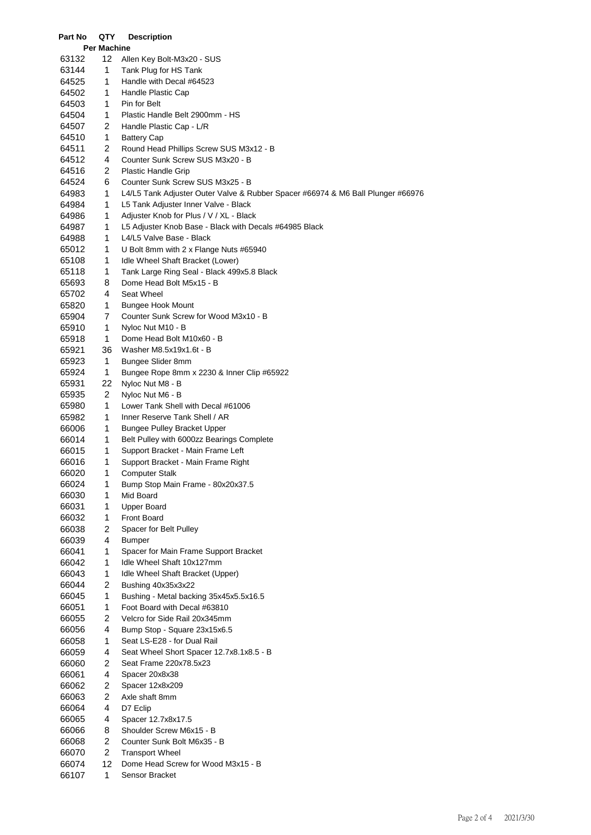| Part No        | QTY         | <b>Description</b>                                                                 |
|----------------|-------------|------------------------------------------------------------------------------------|
|                | Per Machine |                                                                                    |
| 63132          | 12          | Allen Key Bolt-M3x20 - SUS                                                         |
| 63144          | 1           | Tank Plug for HS Tank                                                              |
| 64525          | 1           | Handle with Decal #64523                                                           |
| 64502          | 1           | Handle Plastic Cap                                                                 |
| 64503          | 1           | Pin for Belt                                                                       |
| 64504          | 1           | Plastic Handle Belt 2900mm - HS                                                    |
| 64507          | 2           | Handle Plastic Cap - L/R                                                           |
| 64510          | 1           | <b>Battery Cap</b>                                                                 |
| 64511          | 2           | Round Head Phillips Screw SUS M3x12 - B                                            |
| 64512          | 4           | Counter Sunk Screw SUS M3x20 - B                                                   |
| 64516          | 2           | <b>Plastic Handle Grip</b>                                                         |
| 64524          | 6           | Counter Sunk Screw SUS M3x25 - B                                                   |
| 64983          | 1           | L4/L5 Tank Adjuster Outer Valve & Rubber Spacer #66974 & M6 Ball Plunger #66976    |
| 64984          | 1           | L5 Tank Adjuster Inner Valve - Black                                               |
| 64986          | 1           | Adjuster Knob for Plus / V / XL - Black                                            |
| 64987          | 1           | L5 Adjuster Knob Base - Black with Decals #64985 Black<br>L4/L5 Valve Base - Black |
| 64988<br>65012 | 1<br>1      | U Bolt 8mm with 2 x Flange Nuts #65940                                             |
| 65108          | 1           | Idle Wheel Shaft Bracket (Lower)                                                   |
| 65118          | 1           | Tank Large Ring Seal - Black 499x5.8 Black                                         |
| 65693          | 8           | Dome Head Bolt M5x15 - B                                                           |
| 65702          | 4           | Seat Wheel                                                                         |
| 65820          | 1           | <b>Bungee Hook Mount</b>                                                           |
| 65904          | 7           | Counter Sunk Screw for Wood M3x10 - B                                              |
| 65910          | 1           | Nyloc Nut M10 - B                                                                  |
| 65918          | 1           | Dome Head Bolt M10x60 - B                                                          |
| 65921          | 36          | Washer M8.5x19x1.6t - B                                                            |
| 65923          | 1           | Bungee Slider 8mm                                                                  |
| 65924          | 1           | Bungee Rope 8mm x 2230 & Inner Clip #65922                                         |
| 65931          | 22          | Nyloc Nut M8 - B                                                                   |
| 65935          | 2           | Nyloc Nut M6 - B                                                                   |
| 65980          | 1           | Lower Tank Shell with Decal #61006                                                 |
| 65982          | 1           | Inner Reserve Tank Shell / AR                                                      |
| 66006          | 1           | <b>Bungee Pulley Bracket Upper</b>                                                 |
| 66014          | 1           | Belt Pulley with 6000zz Bearings Complete                                          |
| 66015          | 1           | Support Bracket - Main Frame Left                                                  |
| 66016          | 1           | Support Bracket - Main Frame Right                                                 |
| 66020          | 1.          | Computer Stalk                                                                     |
| 66024          | 1           | Bump Stop Main Frame - 80x20x37.5                                                  |
| 66030          | 1           | Mid Board                                                                          |
| 66031          | 1           | <b>Upper Board</b>                                                                 |
| 66032          | 1           | Front Board                                                                        |
| 66038          | 2           | Spacer for Belt Pulley                                                             |
| 66039          | 4           | <b>Bumper</b>                                                                      |
| 66041          | 1           | Spacer for Main Frame Support Bracket                                              |
| 66042          | 1           | Idle Wheel Shaft 10x127mm                                                          |
| 66043          | 1           | Idle Wheel Shaft Bracket (Upper)                                                   |
| 66044          | 2           | Bushing 40x35x3x22                                                                 |
| 66045          | 1           | Bushing - Metal backing 35x45x5.5x16.5                                             |
| 66051          | 1<br>2      | Foot Board with Decal #63810<br>Velcro for Side Rail 20x345mm                      |
| 66055<br>66056 | 4           | Bump Stop - Square 23x15x6.5                                                       |
| 66058          | 1           | Seat LS-E28 - for Dual Rail                                                        |
| 66059          | 4           | Seat Wheel Short Spacer 12.7x8.1x8.5 - B                                           |
| 66060          | 2           | Seat Frame 220x78.5x23                                                             |
| 66061          | 4           | Spacer 20x8x38                                                                     |
| 66062          | 2           | Spacer 12x8x209                                                                    |
| 66063          | 2           | Axle shaft 8mm                                                                     |
| 66064          | 4           | D7 Eclip                                                                           |
| 66065          | 4           | Spacer 12.7x8x17.5                                                                 |
| 66066          | 8           | Shoulder Screw M6x15 - B                                                           |
| 66068          | 2           | Counter Sunk Bolt M6x35 - B                                                        |
| 66070          | 2           | <b>Transport Wheel</b>                                                             |
| 66074          | 12          | Dome Head Screw for Wood M3x15 - B                                                 |
| 66107          | 1           | Sensor Bracket                                                                     |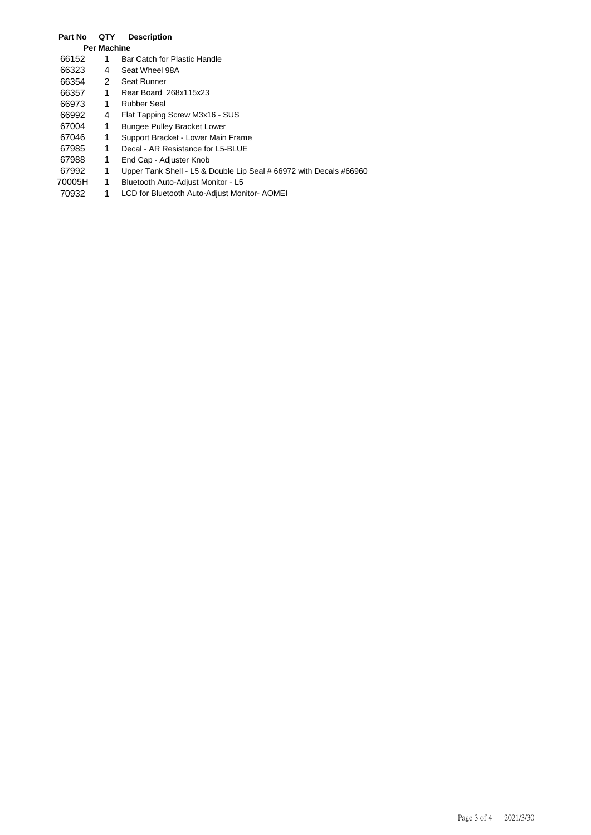### **Part No QTY Description Per Machine** 66152 1 Bar Catch for Plastic Handle<br>66323 4 Seat Wheel 98A 66323 4 Seat Wheel 98A 66354 2 Seat Runner<br>66357 1 Rear Board 66357 1 Rear Board 268x115x23 66973 1 Rubber Seal<br>66992 4 Flat Tapping 66992 4 Flat Tapping Screw M3x16 - SUS<br>67004 1 Bungee Pulley Bracket Lower 67004 1 Bungee Pulley Bracket Lower<br>67046 1 Support Bracket - Lower Main 67046 1 Support Bracket - Lower Main Frame<br>67985 1 Decal - AR Resistance for L5-BLUE 67985 1 Decal - AR Resistance for L5-BLUE<br>67988 1 End Cap - Adjuster Knob 67988 1 End Cap - Adjuster Knob<br>67992 1 Upper Tank Shell - L5 & I 1 Upper Tank Shell - L5 & Double Lip Seal # 66972 with Decals #66960 70005H 1 Bluetooth Auto-Adjust Monitor - L5<br>70932 1 LCD for Bluetooth Auto-Adjust Mon

1 LCD for Bluetooth Auto-Adjust Monitor- AOMEI